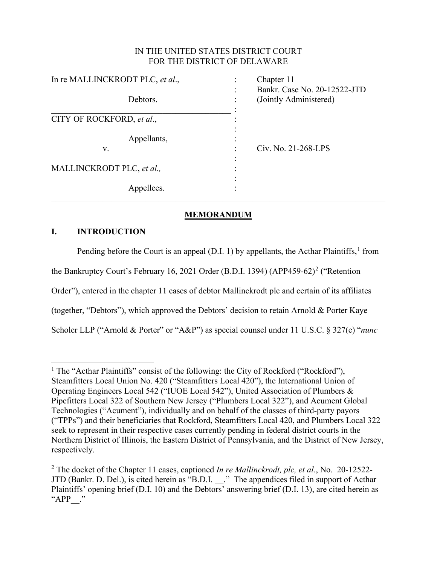## IN THE UNITED STATES DISTRICT COURT FOR THE DISTRICT OF DELAWARE

| In re MALLINCKRODT PLC, et al., |             | Chapter 11                   |
|---------------------------------|-------------|------------------------------|
|                                 |             | Bankr. Case No. 20-12522-JTD |
|                                 | Debtors.    | (Jointly Administered)       |
|                                 |             |                              |
| CITY OF ROCKFORD, et al.,       |             |                              |
|                                 | Appellants, |                              |
| V.                              |             | Civ. No. 21-268-LPS          |
|                                 |             |                              |
| MALLINCKRODT PLC, et al.,       |             |                              |
|                                 |             |                              |
|                                 | Appellees.  |                              |

# **MEMORANDUM**

# **I. INTRODUCTION**

Pending before the Court is an appeal (D.I. [1](#page-0-0)) by appellants, the Acthar Plaintiffs,<sup>1</sup> from the Bankruptcy Court's February 16, [2](#page-0-1)021 Order (B.D.I. 1394) (APP459-62)<sup>2</sup> ("Retention Order"), entered in the chapter 11 cases of debtor Mallinckrodt plc and certain of its affiliates (together, "Debtors"), which approved the Debtors' decision to retain Arnold & Porter Kaye Scholer LLP ("Arnold & Porter" or "A&P") as special counsel under 11 U.S.C. § 327(e) "*nunc* 

<span id="page-0-0"></span><sup>&</sup>lt;sup>1</sup> The "Acthar Plaintiffs" consist of the following: the City of Rockford ("Rockford"), Steamfitters Local Union No. 420 ("Steamfitters Local 420"), the International Union of Operating Engineers Local 542 ("IUOE Local 542"), United Association of Plumbers & Pipefitters Local 322 of Southern New Jersey ("Plumbers Local 322"), and Acument Global Technologies ("Acument"), individually and on behalf of the classes of third-party payors ("TPPs") and their beneficiaries that Rockford, Steamfitters Local 420, and Plumbers Local 322 seek to represent in their respective cases currently pending in federal district courts in the Northern District of Illinois, the Eastern District of Pennsylvania, and the District of New Jersey, respectively.

<span id="page-0-1"></span><sup>2</sup> The docket of the Chapter 11 cases, captioned *In re Mallinckrodt, plc, et al*., No. 20-12522- JTD (Bankr. D. Del.), is cited herein as "B.D.I. \_\_." The appendices filed in support of Acthar Plaintiffs' opening brief (D.I. 10) and the Debtors' answering brief (D.I. 13), are cited herein as "APP ."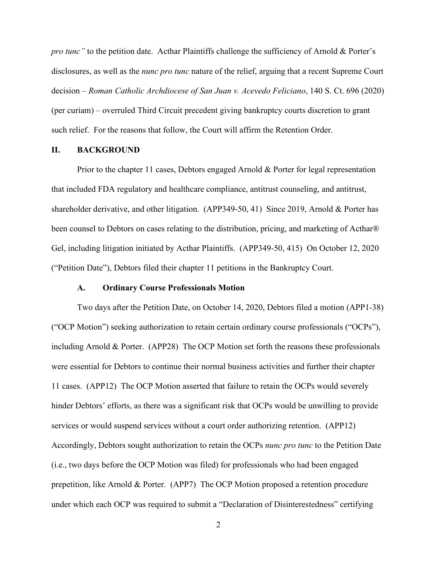*pro tunc"* to the petition date. Acthar Plaintiffs challenge the sufficiency of Arnold & Porter's disclosures, as well as the *nunc pro tunc* nature of the relief, arguing that a recent Supreme Court decision – *Roman Catholic Archdiocese of San Juan v. Acevedo Feliciano*, 140 S. Ct. 696 (2020) (per curiam) – overruled Third Circuit precedent giving bankruptcy courts discretion to grant such relief. For the reasons that follow, the Court will affirm the Retention Order.

### **II. BACKGROUND**

Prior to the chapter 11 cases, Debtors engaged Arnold & Porter for legal representation that included FDA regulatory and healthcare compliance, antitrust counseling, and antitrust, shareholder derivative, and other litigation. (APP349-50, 41) Since 2019, Arnold & Porter has been counsel to Debtors on cases relating to the distribution, pricing, and marketing of Acthar® Gel, including litigation initiated by Acthar Plaintiffs. (APP349-50, 415) On October 12, 2020 ("Petition Date"), Debtors filed their chapter 11 petitions in the Bankruptcy Court.

## **A. Ordinary Course Professionals Motion**

Two days after the Petition Date, on October 14, 2020, Debtors filed a motion (APP1-38) ("OCP Motion") seeking authorization to retain certain ordinary course professionals ("OCPs"), including Arnold & Porter. (APP28) The OCP Motion set forth the reasons these professionals were essential for Debtors to continue their normal business activities and further their chapter 11 cases. (APP12) The OCP Motion asserted that failure to retain the OCPs would severely hinder Debtors' efforts, as there was a significant risk that OCPs would be unwilling to provide services or would suspend services without a court order authorizing retention. (APP12) Accordingly, Debtors sought authorization to retain the OCPs *nunc pro tunc* to the Petition Date (i.e., two days before the OCP Motion was filed) for professionals who had been engaged prepetition, like Arnold & Porter. (APP7) The OCP Motion proposed a retention procedure under which each OCP was required to submit a "Declaration of Disinterestedness" certifying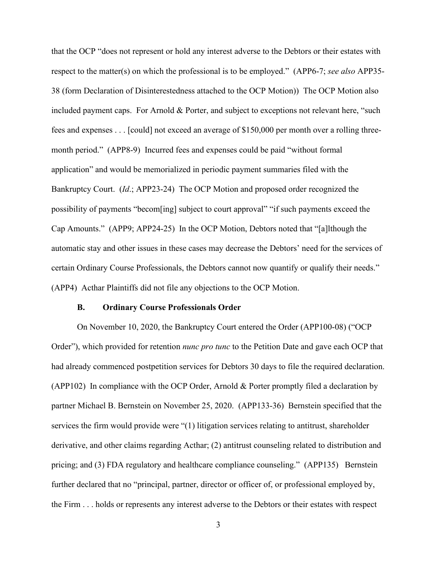that the OCP "does not represent or hold any interest adverse to the Debtors or their estates with respect to the matter(s) on which the professional is to be employed." (APP6-7; *see also* APP35- 38 (form Declaration of Disinterestedness attached to the OCP Motion)) The OCP Motion also included payment caps. For Arnold & Porter, and subject to exceptions not relevant here, "such fees and expenses . . . [could] not exceed an average of \$150,000 per month over a rolling threemonth period." (APP8-9) Incurred fees and expenses could be paid "without formal application" and would be memorialized in periodic payment summaries filed with the Bankruptcy Court. (*Id*.; APP23-24) The OCP Motion and proposed order recognized the possibility of payments "becom[ing] subject to court approval" "if such payments exceed the Cap Amounts." (APP9; APP24-25) In the OCP Motion, Debtors noted that "[a]lthough the automatic stay and other issues in these cases may decrease the Debtors' need for the services of certain Ordinary Course Professionals, the Debtors cannot now quantify or qualify their needs." (APP4) Acthar Plaintiffs did not file any objections to the OCP Motion.

#### **B. Ordinary Course Professionals Order**

On November 10, 2020, the Bankruptcy Court entered the Order (APP100-08) ("OCP Order"), which provided for retention *nunc pro tunc* to the Petition Date and gave each OCP that had already commenced postpetition services for Debtors 30 days to file the required declaration. (APP102) In compliance with the OCP Order, Arnold & Porter promptly filed a declaration by partner Michael B. Bernstein on November 25, 2020. (APP133-36) Bernstein specified that the services the firm would provide were "(1) litigation services relating to antitrust, shareholder derivative, and other claims regarding Acthar; (2) antitrust counseling related to distribution and pricing; and (3) FDA regulatory and healthcare compliance counseling." (APP135) Bernstein further declared that no "principal, partner, director or officer of, or professional employed by, the Firm . . . holds or represents any interest adverse to the Debtors or their estates with respect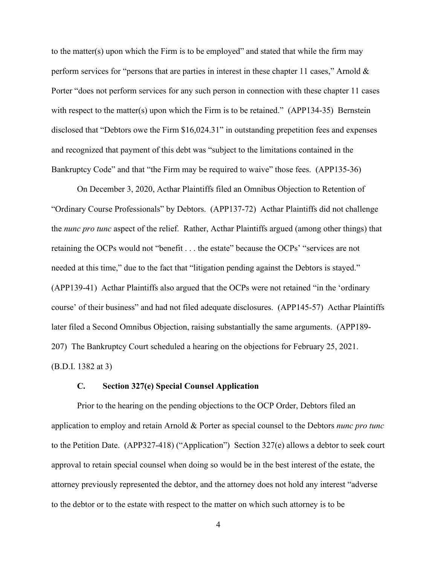to the matter(s) upon which the Firm is to be employed" and stated that while the firm may perform services for "persons that are parties in interest in these chapter 11 cases," Arnold & Porter "does not perform services for any such person in connection with these chapter 11 cases with respect to the matter(s) upon which the Firm is to be retained." (APP134-35) Bernstein disclosed that "Debtors owe the Firm \$16,024.31" in outstanding prepetition fees and expenses and recognized that payment of this debt was "subject to the limitations contained in the Bankruptcy Code" and that "the Firm may be required to waive" those fees. (APP135-36)

On December 3, 2020, Acthar Plaintiffs filed an Omnibus Objection to Retention of "Ordinary Course Professionals" by Debtors. (APP137-72) Acthar Plaintiffs did not challenge the *nunc pro tunc* aspect of the relief. Rather, Acthar Plaintiffs argued (among other things) that retaining the OCPs would not "benefit . . . the estate" because the OCPs' "services are not needed at this time," due to the fact that "litigation pending against the Debtors is stayed." (APP139-41) Acthar Plaintiffs also argued that the OCPs were not retained "in the 'ordinary course' of their business" and had not filed adequate disclosures. (APP145-57) Acthar Plaintiffs later filed a Second Omnibus Objection, raising substantially the same arguments. (APP189- 207) The Bankruptcy Court scheduled a hearing on the objections for February 25, 2021. (B.D.I. 1382 at 3)

### **C. Section 327(e) Special Counsel Application**

Prior to the hearing on the pending objections to the OCP Order, Debtors filed an application to employ and retain Arnold & Porter as special counsel to the Debtors *nunc pro tunc*  to the Petition Date. (APP327-418) ("Application") Section 327(e) allows a debtor to seek court approval to retain special counsel when doing so would be in the best interest of the estate, the attorney previously represented the debtor, and the attorney does not hold any interest "adverse to the debtor or to the estate with respect to the matter on which such attorney is to be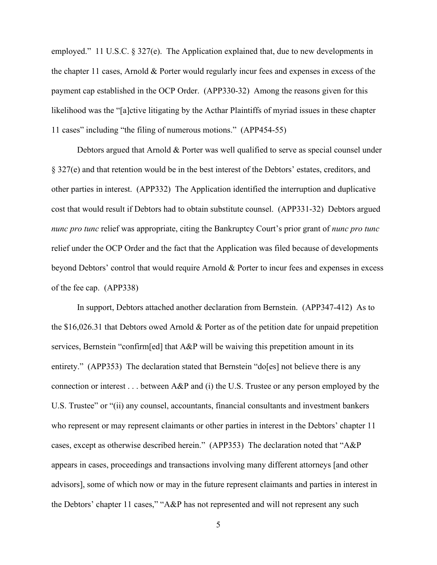employed." 11 U.S.C. § 327(e). The Application explained that, due to new developments in the chapter 11 cases, Arnold & Porter would regularly incur fees and expenses in excess of the payment cap established in the OCP Order. (APP330-32) Among the reasons given for this likelihood was the "[a]ctive litigating by the Acthar Plaintiffs of myriad issues in these chapter 11 cases" including "the filing of numerous motions." (APP454-55)

Debtors argued that Arnold & Porter was well qualified to serve as special counsel under § 327(e) and that retention would be in the best interest of the Debtors' estates, creditors, and other parties in interest. (APP332) The Application identified the interruption and duplicative cost that would result if Debtors had to obtain substitute counsel. (APP331-32) Debtors argued *nunc pro tunc* relief was appropriate, citing the Bankruptcy Court's prior grant of *nunc pro tunc* relief under the OCP Order and the fact that the Application was filed because of developments beyond Debtors' control that would require Arnold & Porter to incur fees and expenses in excess of the fee cap. (APP338)

In support, Debtors attached another declaration from Bernstein. (APP347-412) As to the \$16,026.31 that Debtors owed Arnold & Porter as of the petition date for unpaid prepetition services, Bernstein "confirm[ed] that A&P will be waiving this prepetition amount in its entirety." (APP353) The declaration stated that Bernstein "do[es] not believe there is any connection or interest . . . between A&P and (i) the U.S. Trustee or any person employed by the U.S. Trustee" or "(ii) any counsel, accountants, financial consultants and investment bankers who represent or may represent claimants or other parties in interest in the Debtors' chapter 11 cases, except as otherwise described herein." (APP353) The declaration noted that "A&P appears in cases, proceedings and transactions involving many different attorneys [and other advisors], some of which now or may in the future represent claimants and parties in interest in the Debtors' chapter 11 cases," "A&P has not represented and will not represent any such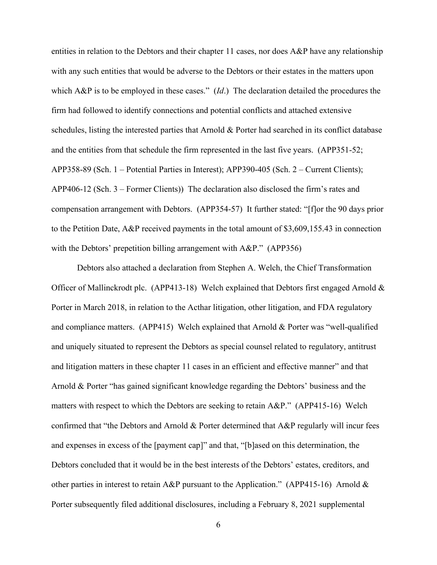entities in relation to the Debtors and their chapter 11 cases, nor does A&P have any relationship with any such entities that would be adverse to the Debtors or their estates in the matters upon which A&P is to be employed in these cases." (*Id*.) The declaration detailed the procedures the firm had followed to identify connections and potential conflicts and attached extensive schedules, listing the interested parties that Arnold & Porter had searched in its conflict database and the entities from that schedule the firm represented in the last five years. (APP351-52; APP358-89 (Sch. 1 – Potential Parties in Interest); APP390-405 (Sch. 2 – Current Clients); APP406-12 (Sch. 3 – Former Clients)) The declaration also disclosed the firm's rates and compensation arrangement with Debtors. (APP354-57) It further stated: "[f]or the 90 days prior to the Petition Date, A&P received payments in the total amount of \$3,609,155.43 in connection with the Debtors' prepetition billing arrangement with A&P." (APP356)

Debtors also attached a declaration from Stephen A. Welch, the Chief Transformation Officer of Mallinckrodt plc. (APP413-18) Welch explained that Debtors first engaged Arnold & Porter in March 2018, in relation to the Acthar litigation, other litigation, and FDA regulatory and compliance matters. (APP415) Welch explained that Arnold & Porter was "well-qualified and uniquely situated to represent the Debtors as special counsel related to regulatory, antitrust and litigation matters in these chapter 11 cases in an efficient and effective manner" and that Arnold & Porter "has gained significant knowledge regarding the Debtors' business and the matters with respect to which the Debtors are seeking to retain A&P." (APP415-16) Welch confirmed that "the Debtors and Arnold & Porter determined that A&P regularly will incur fees and expenses in excess of the [payment cap]" and that, "[b]ased on this determination, the Debtors concluded that it would be in the best interests of the Debtors' estates, creditors, and other parties in interest to retain A&P pursuant to the Application." (APP415-16) Arnold & Porter subsequently filed additional disclosures, including a February 8, 2021 supplemental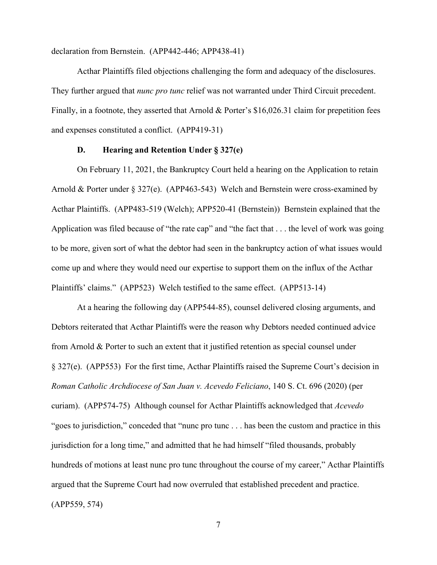declaration from Bernstein. (APP442-446; APP438-41)

Acthar Plaintiffs filed objections challenging the form and adequacy of the disclosures. They further argued that *nunc pro tunc* relief was not warranted under Third Circuit precedent. Finally, in a footnote, they asserted that Arnold & Porter's \$16,026.31 claim for prepetition fees and expenses constituted a conflict. (APP419-31)

#### **D. Hearing and Retention Under § 327(e)**

On February 11, 2021, the Bankruptcy Court held a hearing on the Application to retain Arnold & Porter under § 327(e). (APP463-543) Welch and Bernstein were cross-examined by Acthar Plaintiffs. (APP483-519 (Welch); APP520-41 (Bernstein)) Bernstein explained that the Application was filed because of "the rate cap" and "the fact that . . . the level of work was going to be more, given sort of what the debtor had seen in the bankruptcy action of what issues would come up and where they would need our expertise to support them on the influx of the Acthar Plaintiffs' claims." (APP523) Welch testified to the same effect. (APP513-14)

At a hearing the following day (APP544-85), counsel delivered closing arguments, and Debtors reiterated that Acthar Plaintiffs were the reason why Debtors needed continued advice from Arnold & Porter to such an extent that it justified retention as special counsel under § 327(e). (APP553) For the first time, Acthar Plaintiffs raised the Supreme Court's decision in *Roman Catholic Archdiocese of San Juan v. Acevedo Feliciano*, 140 S. Ct. 696 (2020) (per curiam). (APP574-75) Although counsel for Acthar Plaintiffs acknowledged that *Acevedo* "goes to jurisdiction," conceded that "nunc pro tunc . . . has been the custom and practice in this jurisdiction for a long time," and admitted that he had himself "filed thousands, probably hundreds of motions at least nunc pro tunc throughout the course of my career," Acthar Plaintiffs argued that the Supreme Court had now overruled that established precedent and practice. (APP559, 574)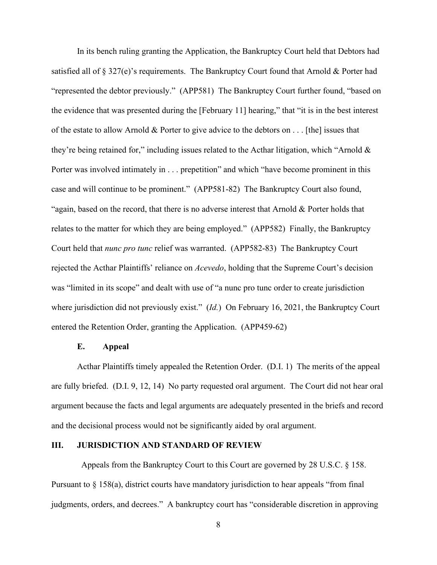In its bench ruling granting the Application, the Bankruptcy Court held that Debtors had satisfied all of § 327(e)'s requirements. The Bankruptcy Court found that Arnold & Porter had "represented the debtor previously." (APP581) The Bankruptcy Court further found, "based on the evidence that was presented during the [February 11] hearing," that "it is in the best interest of the estate to allow Arnold & Porter to give advice to the debtors on . . . [the] issues that they're being retained for," including issues related to the Acthar litigation, which "Arnold & Porter was involved intimately in . . . prepetition" and which "have become prominent in this case and will continue to be prominent." (APP581-82) The Bankruptcy Court also found, "again, based on the record, that there is no adverse interest that Arnold & Porter holds that relates to the matter for which they are being employed." (APP582) Finally, the Bankruptcy Court held that *nunc pro tunc* relief was warranted. (APP582-83) The Bankruptcy Court rejected the Acthar Plaintiffs' reliance on *Acevedo*, holding that the Supreme Court's decision was "limited in its scope" and dealt with use of "a nunc pro tunc order to create jurisdiction where jurisdiction did not previously exist." (*Id.*) On February 16, 2021, the Bankruptcy Court entered the Retention Order, granting the Application. (APP459-62)

## **E. Appeal**

Acthar Plaintiffs timely appealed the Retention Order. (D.I. 1) The merits of the appeal are fully briefed. (D.I. 9, 12, 14) No party requested oral argument. The Court did not hear oral argument because the facts and legal arguments are adequately presented in the briefs and record and the decisional process would not be significantly aided by oral argument.

### **III. JURISDICTION AND STANDARD OF REVIEW**

Appeals from the Bankruptcy Court to this Court are governed by 28 U.S.C. § 158. Pursuant to § 158(a), district courts have mandatory jurisdiction to hear appeals "from final judgments, orders, and decrees." A bankruptcy court has "considerable discretion in approving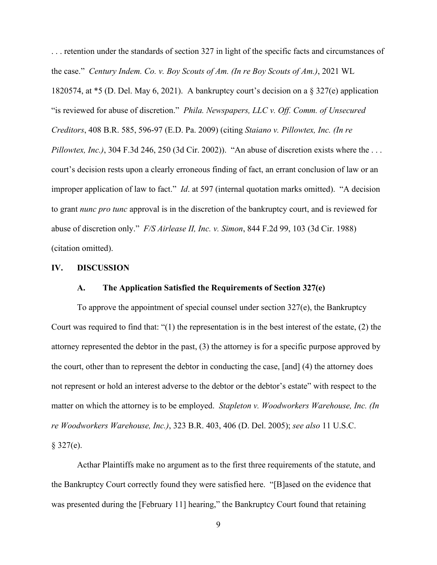. . . retention under the standards of section 327 in light of the specific facts and circumstances of the case." *Century Indem. Co. v. Boy Scouts of Am. (In re Boy Scouts of Am.)*, 2021 WL 1820574, at \*5 (D. Del. May 6, 2021). A bankruptcy court's decision on a § 327(e) application "is reviewed for abuse of discretion." *Phila. Newspapers, LLC v. Off. Comm. of Unsecured Creditors*, 408 B.R. 585, 596-97 (E.D. Pa. 2009) (citing *Staiano v. Pillowtex, Inc. (In re Pillowtex, Inc.)*, 304 F.3d 246, 250 (3d Cir. 2002)). "An abuse of discretion exists where the ... court's decision rests upon a clearly erroneous finding of fact, an errant conclusion of law or an improper application of law to fact." *Id*. at 597 (internal quotation marks omitted). "A decision to grant *nunc pro tunc* approval is in the discretion of the bankruptcy court, and is reviewed for abuse of discretion only." *F/S Airlease II, Inc. v. Simon*, 844 F.2d 99, 103 (3d Cir. 1988) (citation omitted).

#### **IV. DISCUSSION**

## **A. The Application Satisfied the Requirements of Section 327(e)**

To approve the appointment of special counsel under section 327(e), the Bankruptcy Court was required to find that: "(1) the representation is in the best interest of the estate, (2) the attorney represented the debtor in the past, (3) the attorney is for a specific purpose approved by the court, other than to represent the debtor in conducting the case, [and] (4) the attorney does not represent or hold an interest adverse to the debtor or the debtor's estate" with respect to the matter on which the attorney is to be employed. *Stapleton v. Woodworkers Warehouse, Inc. (In re Woodworkers Warehouse, Inc.)*, 323 B.R. 403, 406 (D. Del. 2005); *see also* 11 U.S.C.  $$327(e).$ 

Acthar Plaintiffs make no argument as to the first three requirements of the statute, and the Bankruptcy Court correctly found they were satisfied here. "[B]ased on the evidence that was presented during the [February 11] hearing," the Bankruptcy Court found that retaining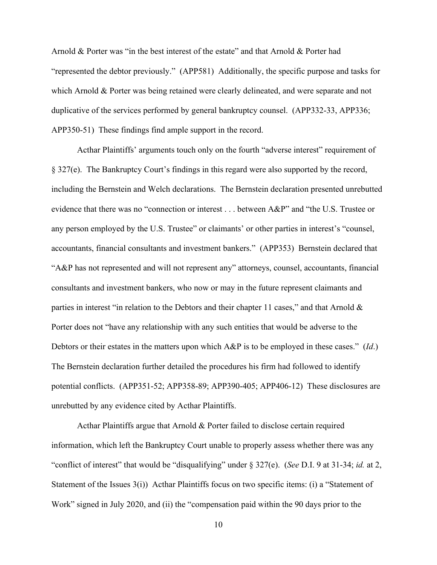Arnold & Porter was "in the best interest of the estate" and that Arnold & Porter had "represented the debtor previously." (APP581) Additionally, the specific purpose and tasks for which Arnold & Porter was being retained were clearly delineated, and were separate and not duplicative of the services performed by general bankruptcy counsel. (APP332-33, APP336; APP350-51) These findings find ample support in the record.

Acthar Plaintiffs' arguments touch only on the fourth "adverse interest" requirement of § 327(e). The Bankruptcy Court's findings in this regard were also supported by the record, including the Bernstein and Welch declarations. The Bernstein declaration presented unrebutted evidence that there was no "connection or interest . . . between A&P" and "the U.S. Trustee or any person employed by the U.S. Trustee" or claimants' or other parties in interest's "counsel, accountants, financial consultants and investment bankers." (APP353) Bernstein declared that "A&P has not represented and will not represent any" attorneys, counsel, accountants, financial consultants and investment bankers, who now or may in the future represent claimants and parties in interest "in relation to the Debtors and their chapter 11 cases," and that Arnold & Porter does not "have any relationship with any such entities that would be adverse to the Debtors or their estates in the matters upon which A&P is to be employed in these cases." (*Id*.) The Bernstein declaration further detailed the procedures his firm had followed to identify potential conflicts. (APP351-52; APP358-89; APP390-405; APP406-12) These disclosures are unrebutted by any evidence cited by Acthar Plaintiffs.

Acthar Plaintiffs argue that Arnold & Porter failed to disclose certain required information, which left the Bankruptcy Court unable to properly assess whether there was any "conflict of interest" that would be "disqualifying" under § 327(e). (*See* D.I. 9 at 31-34; *id.* at 2, Statement of the Issues 3(i)) Acthar Plaintiffs focus on two specific items: (i) a "Statement of Work" signed in July 2020, and (ii) the "compensation paid within the 90 days prior to the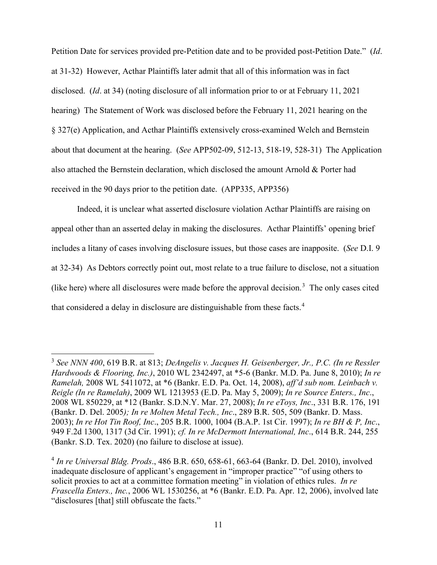Petition Date for services provided pre-Petition date and to be provided post-Petition Date." (*Id*. at 31-32) However, Acthar Plaintiffs later admit that all of this information was in fact disclosed. (*Id*. at 34) (noting disclosure of all information prior to or at February 11, 2021 hearing) The Statement of Work was disclosed before the February 11, 2021 hearing on the § 327(e) Application, and Acthar Plaintiffs extensively cross-examined Welch and Bernstein about that document at the hearing. (*See* APP502-09, 512-13, 518-19, 528-31) The Application also attached the Bernstein declaration, which disclosed the amount Arnold & Porter had received in the 90 days prior to the petition date. (APP335, APP356)

Indeed, it is unclear what asserted disclosure violation Acthar Plaintiffs are raising on appeal other than an asserted delay in making the disclosures. Acthar Plaintiffs' opening brief includes a litany of cases involving disclosure issues, but those cases are inapposite. (*See* D.I. 9 at 32-34) As Debtors correctly point out, most relate to a true failure to disclose, not a situation (like here) where all disclosures were made before the approval decision.<sup>[3](#page-10-0)</sup> The only cases cited that considered a delay in disclosure are distinguishable from these facts.<sup>[4](#page-10-1)</sup>

<span id="page-10-0"></span><sup>3</sup> *See NNN 400*, 619 B.R. at 813; *DeAngelis v. Jacques H. Geisenberger, Jr., P.C. (In re Ressler Hardwoods & Flooring, Inc.)*, 2010 WL 2342497, at \*5-6 (Bankr. M.D. Pa. June 8, 2010); *In re Ramelah,* 2008 WL 5411072, at \*6 (Bankr. E.D. Pa. Oct. 14, 2008), *aff'd sub nom. Leinbach v. Reigle (In re Ramelah)*, 2009 WL 1213953 (E.D. Pa. May 5, 2009); *In re Source Enters., Inc*., 2008 WL 850229, at \*12 (Bankr. S.D.N.Y. Mar. 27, 2008); *In re eToys, Inc*., 331 B.R. 176, 191 (Bankr. D. Del. 2005*); In re Molten Metal Tech., Inc*., 289 B.R. 505, 509 (Bankr. D. Mass. 2003); *In re Hot Tin Roof, Inc*., 205 B.R. 1000, 1004 (B.A.P. 1st Cir. 1997); *In re BH & P, Inc*., 949 F.2d 1300, 1317 (3d Cir. 1991); *cf. In re McDermott International, Inc*., 614 B.R. 244, 255 (Bankr. S.D. Tex. 2020) (no failure to disclose at issue).

<span id="page-10-1"></span><sup>4</sup> *In re Universal Bldg. Prods*., 486 B.R. 650, 658-61, 663-64 (Bankr. D. Del. 2010), involved inadequate disclosure of applicant's engagement in "improper practice" "of using others to solicit proxies to act at a committee formation meeting" in violation of ethics rules. *In re Frascella Enters., Inc.*, 2006 WL 1530256, at \*6 (Bankr. E.D. Pa. Apr. 12, 2006), involved late "disclosures [that] still obfuscate the facts."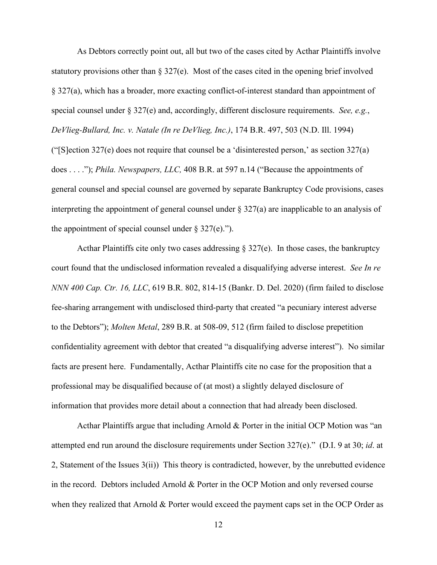As Debtors correctly point out, all but two of the cases cited by Acthar Plaintiffs involve statutory provisions other than § 327(e). Most of the cases cited in the opening brief involved § 327(a), which has a broader, more exacting conflict-of-interest standard than appointment of special counsel under § 327(e) and, accordingly, different disclosure requirements. *See, e.g.*, *DeVlieg-Bullard, Inc. v. Natale (In re DeVlieg, Inc.)*, 174 B.R. 497, 503 (N.D. Ill. 1994) ("[S]ection 327(e) does not require that counsel be a 'disinterested person,' as section 327(a) does . . . ."); *Phila. Newspapers, LLC,* 408 B.R. at 597 n.14 ("Because the appointments of general counsel and special counsel are governed by separate Bankruptcy Code provisions, cases interpreting the appointment of general counsel under § 327(a) are inapplicable to an analysis of the appointment of special counsel under  $\S 327(e)$ .").

Acthar Plaintiffs cite only two cases addressing  $\S 327(e)$ . In those cases, the bankruptcy court found that the undisclosed information revealed a disqualifying adverse interest. *See In re NNN 400 Cap. Ctr. 16, LLC*, 619 B.R. 802, 814-15 (Bankr. D. Del. 2020) (firm failed to disclose fee-sharing arrangement with undisclosed third-party that created "a pecuniary interest adverse to the Debtors"); *Molten Metal*, 289 B.R. at 508-09, 512 (firm failed to disclose prepetition confidentiality agreement with debtor that created "a disqualifying adverse interest"). No similar facts are present here. Fundamentally, Acthar Plaintiffs cite no case for the proposition that a professional may be disqualified because of (at most) a slightly delayed disclosure of information that provides more detail about a connection that had already been disclosed.

Acthar Plaintiffs argue that including Arnold & Porter in the initial OCP Motion was "an attempted end run around the disclosure requirements under Section 327(e)." (D.I. 9 at 30; *id*. at 2, Statement of the Issues 3(ii)) This theory is contradicted, however, by the unrebutted evidence in the record. Debtors included Arnold & Porter in the OCP Motion and only reversed course when they realized that Arnold & Porter would exceed the payment caps set in the OCP Order as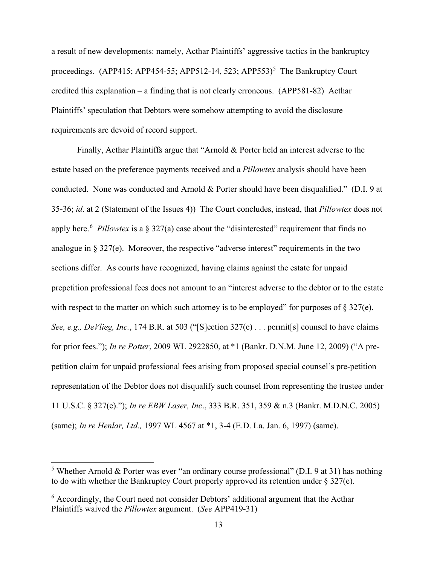a result of new developments: namely, Acthar Plaintiffs' aggressive tactics in the bankruptcy proceedings. (APP41[5](#page-12-0); APP454-55; APP512-14, 523; APP553)<sup>5</sup> The Bankruptcy Court credited this explanation – a finding that is not clearly erroneous. (APP581-82) Acthar Plaintiffs' speculation that Debtors were somehow attempting to avoid the disclosure requirements are devoid of record support.

Finally, Acthar Plaintiffs argue that "Arnold & Porter held an interest adverse to the estate based on the preference payments received and a *Pillowtex* analysis should have been conducted. None was conducted and Arnold & Porter should have been disqualified." (D.I. 9 at 35-36; *id*. at 2 (Statement of the Issues 4)) The Court concludes, instead, that *Pillowtex* does not apply here.<sup>[6](#page-12-1)</sup> Pillowtex is a § 327(a) case about the "disinterested" requirement that finds no analogue in  $\S 327(e)$ . Moreover, the respective "adverse interest" requirements in the two sections differ. As courts have recognized, having claims against the estate for unpaid prepetition professional fees does not amount to an "interest adverse to the debtor or to the estate with respect to the matter on which such attorney is to be employed" for purposes of  $\S 327(e)$ . *See, e.g., DeVlieg, Inc.*, 174 B.R. at 503 ("[S]ection 327(e) . . . permit[s] counsel to have claims for prior fees."); *In re Potter*, 2009 WL 2922850, at \*1 (Bankr. D.N.M. June 12, 2009) ("A prepetition claim for unpaid professional fees arising from proposed special counsel's pre-petition representation of the Debtor does not disqualify such counsel from representing the trustee under 11 U.S.C. § 327(e)."); *In re EBW Laser, Inc*., 333 B.R. 351, 359 & n.3 (Bankr. M.D.N.C. 2005) (same); *In re Henlar, Ltd.,* 1997 WL 4567 at \*1, 3-4 (E.D. La. Jan. 6, 1997) (same).

<span id="page-12-0"></span><sup>&</sup>lt;sup>5</sup> Whether Arnold & Porter was ever "an ordinary course professional" (D.I. 9 at 31) has nothing to do with whether the Bankruptcy Court properly approved its retention under  $\S 327(e)$ .

<span id="page-12-1"></span> $6$  Accordingly, the Court need not consider Debtors' additional argument that the Acthar Plaintiffs waived the *Pillowtex* argument. (*See* APP419-31)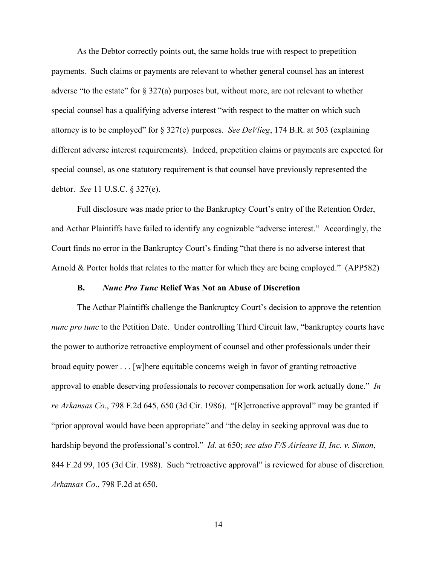As the Debtor correctly points out, the same holds true with respect to prepetition payments. Such claims or payments are relevant to whether general counsel has an interest adverse "to the estate" for  $\S 327(a)$  purposes but, without more, are not relevant to whether special counsel has a qualifying adverse interest "with respect to the matter on which such attorney is to be employed" for § 327(e) purposes. *See DeVlieg*, 174 B.R. at 503 (explaining different adverse interest requirements). Indeed, prepetition claims or payments are expected for special counsel, as one statutory requirement is that counsel have previously represented the debtor. *See* 11 U.S.C. § 327(e).

Full disclosure was made prior to the Bankruptcy Court's entry of the Retention Order, and Acthar Plaintiffs have failed to identify any cognizable "adverse interest." Accordingly, the Court finds no error in the Bankruptcy Court's finding "that there is no adverse interest that Arnold & Porter holds that relates to the matter for which they are being employed." (APP582)

## **B.** *Nunc Pro Tunc* **Relief Was Not an Abuse of Discretion**

The Acthar Plaintiffs challenge the Bankruptcy Court's decision to approve the retention *nunc pro tunc* to the Petition Date. Under controlling Third Circuit law, "bankruptcy courts have the power to authorize retroactive employment of counsel and other professionals under their broad equity power . . . [w]here equitable concerns weigh in favor of granting retroactive approval to enable deserving professionals to recover compensation for work actually done." *In re Arkansas Co*., 798 F.2d 645, 650 (3d Cir. 1986). "[R]etroactive approval" may be granted if "prior approval would have been appropriate" and "the delay in seeking approval was due to hardship beyond the professional's control." *Id*. at 650; *see also F/S Airlease II, Inc. v. Simon*, 844 F.2d 99, 105 (3d Cir. 1988). Such "retroactive approval" is reviewed for abuse of discretion. *Arkansas Co*., 798 F.2d at 650.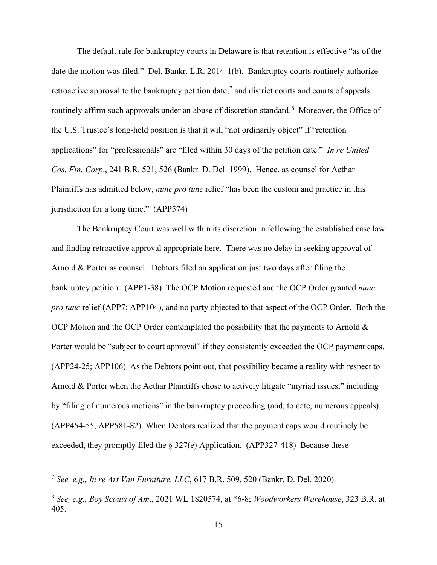The default rule for bankruptcy courts in Delaware is that retention is effective "as of the date the motion was filed." Del. Bankr. L.R. 2014-1(b). Bankruptcy courts routinely authorize retroactive approval to the bankruptcy petition date,<sup>[7](#page-14-0)</sup> and district courts and courts of appeals routinely affirm such approvals under an abuse of discretion standard.<sup>[8](#page-14-1)</sup> Moreover, the Office of the U.S. Trustee's long-held position is that it will "not ordinarily object" if "retention applications" for "professionals" are "filed within 30 days of the petition date." *In re United Cos. Fin. Corp*., 241 B.R. 521, 526 (Bankr. D. Del. 1999). Hence, as counsel for Acthar Plaintiffs has admitted below, *nunc pro tunc* relief "has been the custom and practice in this jurisdiction for a long time." (APP574)

The Bankruptcy Court was well within its discretion in following the established case law and finding retroactive approval appropriate here. There was no delay in seeking approval of Arnold & Porter as counsel. Debtors filed an application just two days after filing the bankruptcy petition. (APP1-38) The OCP Motion requested and the OCP Order granted *nunc pro tunc* relief (APP7; APP104), and no party objected to that aspect of the OCP Order. Both the OCP Motion and the OCP Order contemplated the possibility that the payments to Arnold  $\&$ Porter would be "subject to court approval" if they consistently exceeded the OCP payment caps. (APP24-25; APP106) As the Debtors point out, that possibility became a reality with respect to Arnold & Porter when the Acthar Plaintiffs chose to actively litigate "myriad issues," including by "filing of numerous motions" in the bankruptcy proceeding (and, to date, numerous appeals). (APP454-55, APP581-82) When Debtors realized that the payment caps would routinely be exceeded, they promptly filed the § 327(e) Application. (APP327-418) Because these

<span id="page-14-0"></span><sup>7</sup> *See, e.g., In re Art Van Furniture, LLC*, 617 B.R. 509, 520 (Bankr. D. Del. 2020).

<span id="page-14-1"></span><sup>8</sup> *See, e.g., Boy Scouts of Am*., 2021 WL 1820574, at \*6-8; *Woodworkers Warehouse*, 323 B.R. at 405.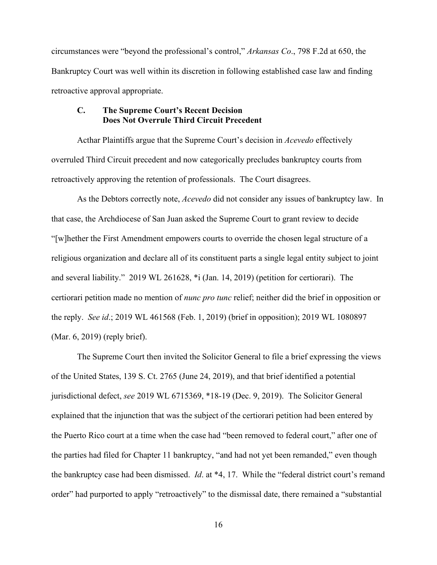circumstances were "beyond the professional's control," *Arkansas Co*., 798 F.2d at 650, the Bankruptcy Court was well within its discretion in following established case law and finding retroactive approval appropriate.

## **C. The Supreme Court's Recent Decision Does Not Overrule Third Circuit Precedent**

Acthar Plaintiffs argue that the Supreme Court's decision in *Acevedo* effectively overruled Third Circuit precedent and now categorically precludes bankruptcy courts from retroactively approving the retention of professionals. The Court disagrees.

As the Debtors correctly note, *Acevedo* did not consider any issues of bankruptcy law. In that case, the Archdiocese of San Juan asked the Supreme Court to grant review to decide "[w]hether the First Amendment empowers courts to override the chosen legal structure of a religious organization and declare all of its constituent parts a single legal entity subject to joint and several liability." 2019 WL 261628, \*i (Jan. 14, 2019) (petition for certiorari). The certiorari petition made no mention of *nunc pro tunc* relief; neither did the brief in opposition or the reply. *See id*.; 2019 WL 461568 (Feb. 1, 2019) (brief in opposition); 2019 WL 1080897 (Mar. 6, 2019) (reply brief).

The Supreme Court then invited the Solicitor General to file a brief expressing the views of the United States, 139 S. Ct. 2765 (June 24, 2019), and that brief identified a potential jurisdictional defect, *see* 2019 WL 6715369, \*18-19 (Dec. 9, 2019). The Solicitor General explained that the injunction that was the subject of the certiorari petition had been entered by the Puerto Rico court at a time when the case had "been removed to federal court," after one of the parties had filed for Chapter 11 bankruptcy, "and had not yet been remanded," even though the bankruptcy case had been dismissed. *Id*. at \*4, 17. While the "federal district court's remand order" had purported to apply "retroactively" to the dismissal date, there remained a "substantial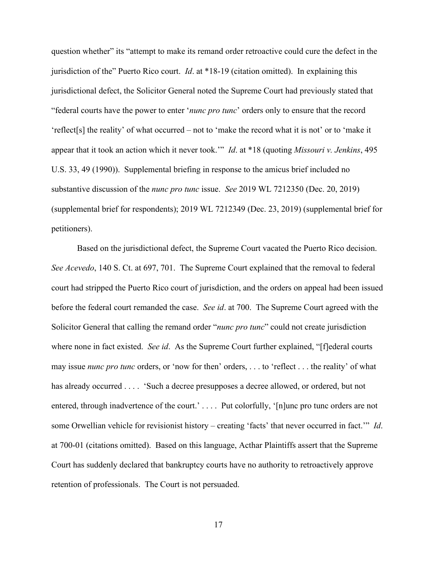question whether" its "attempt to make its remand order retroactive could cure the defect in the jurisdiction of the" Puerto Rico court. *Id*. at \*18-19 (citation omitted). In explaining this jurisdictional defect, the Solicitor General noted the Supreme Court had previously stated that "federal courts have the power to enter '*nunc pro tunc*' orders only to ensure that the record 'reflect[s] the reality' of what occurred – not to 'make the record what it is not' or to 'make it appear that it took an action which it never took.'" *Id*. at \*18 (quoting *Missouri v. Jenkins*, 495 U.S. 33, 49 (1990)). Supplemental briefing in response to the amicus brief included no substantive discussion of the *nunc pro tunc* issue. *See* 2019 WL 7212350 (Dec. 20, 2019) (supplemental brief for respondents); 2019 WL 7212349 (Dec. 23, 2019) (supplemental brief for petitioners).

Based on the jurisdictional defect, the Supreme Court vacated the Puerto Rico decision. *See Acevedo*, 140 S. Ct. at 697, 701. The Supreme Court explained that the removal to federal court had stripped the Puerto Rico court of jurisdiction, and the orders on appeal had been issued before the federal court remanded the case. *See id*. at 700. The Supreme Court agreed with the Solicitor General that calling the remand order "*nunc pro tunc*" could not create jurisdiction where none in fact existed. *See id*. As the Supreme Court further explained, "[f]ederal courts may issue *nunc pro tunc* orders, or 'now for then' orders, . . . to 'reflect . . . the reality' of what has already occurred . . . . 'Such a decree presupposes a decree allowed, or ordered, but not entered, through inadvertence of the court.' . . . . Put colorfully, '[n]unc pro tunc orders are not some Orwellian vehicle for revisionist history – creating 'facts' that never occurred in fact.'" *Id*. at 700-01 (citations omitted). Based on this language, Acthar Plaintiffs assert that the Supreme Court has suddenly declared that bankruptcy courts have no authority to retroactively approve retention of professionals. The Court is not persuaded.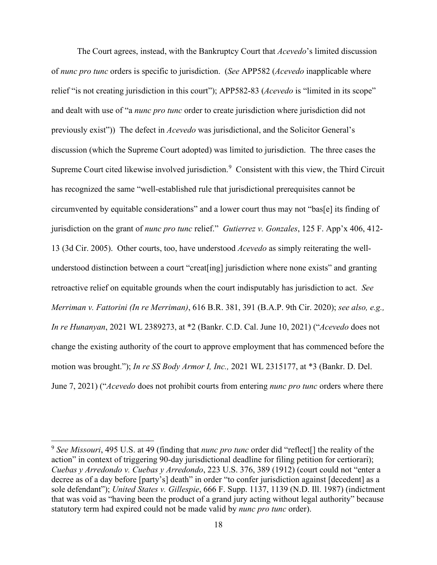The Court agrees, instead, with the Bankruptcy Court that *Acevedo*'s limited discussion of *nunc pro tunc* orders is specific to jurisdiction. (*See* APP582 (*Acevedo* inapplicable where relief "is not creating jurisdiction in this court"); APP582-83 (*Acevedo* is "limited in its scope" and dealt with use of "a *nunc pro tunc* order to create jurisdiction where jurisdiction did not previously exist")) The defect in *Acevedo* was jurisdictional, and the Solicitor General's discussion (which the Supreme Court adopted) was limited to jurisdiction. The three cases the Supreme Court cited likewise involved jurisdiction.<sup>[9](#page-17-0)</sup> Consistent with this view, the Third Circuit has recognized the same "well-established rule that jurisdictional prerequisites cannot be circumvented by equitable considerations" and a lower court thus may not "bas[e] its finding of jurisdiction on the grant of *nunc pro tunc* relief." *Gutierrez v. Gonzales*, 125 F. App'x 406, 412- 13 (3d Cir. 2005). Other courts, too, have understood *Acevedo* as simply reiterating the wellunderstood distinction between a court "creat[ing] jurisdiction where none exists" and granting retroactive relief on equitable grounds when the court indisputably has jurisdiction to act. *See Merriman v. Fattorini (In re Merriman)*, 616 B.R. 381, 391 (B.A.P. 9th Cir. 2020); *see also, e.g., In re Hunanyan*, 2021 WL 2389273, at \*2 (Bankr. C.D. Cal. June 10, 2021) ("*Acevedo* does not change the existing authority of the court to approve employment that has commenced before the motion was brought."); *In re SS Body Armor I, Inc.,* 2021 WL 2315177, at \*3 (Bankr. D. Del. June 7, 2021) ("*Acevedo* does not prohibit courts from entering *nunc pro tunc* orders where there

<span id="page-17-0"></span><sup>9</sup> *See Missouri*, 495 U.S. at 49 (finding that *nunc pro tunc* order did "reflect[] the reality of the action" in context of triggering 90-day jurisdictional deadline for filing petition for certiorari); *Cuebas y Arredondo v. Cuebas y Arredondo*, 223 U.S. 376, 389 (1912) (court could not "enter a decree as of a day before [party's] death" in order "to confer jurisdiction against [decedent] as a sole defendant"); *United States v. Gillespie*, 666 F. Supp. 1137, 1139 (N.D. Ill. 1987) (indictment that was void as "having been the product of a grand jury acting without legal authority" because statutory term had expired could not be made valid by *nunc pro tunc* order).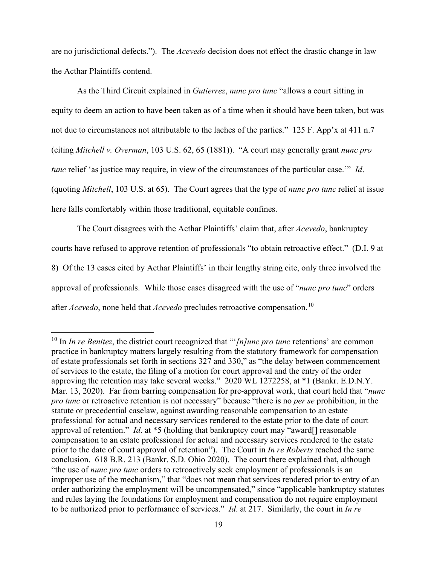are no jurisdictional defects."). The *Acevedo* decision does not effect the drastic change in law the Acthar Plaintiffs contend.

As the Third Circuit explained in *Gutierrez*, *nunc pro tunc* "allows a court sitting in equity to deem an action to have been taken as of a time when it should have been taken, but was not due to circumstances not attributable to the laches of the parties." 125 F. App'x at 411 n.7 (citing *Mitchell v. Overman*, 103 U.S. 62, 65 (1881)). "A court may generally grant *nunc pro tunc* relief 'as justice may require, in view of the circumstances of the particular case.'" *Id*. (quoting *Mitchell*, 103 U.S. at 65). The Court agrees that the type of *nunc pro tunc* relief at issue here falls comfortably within those traditional, equitable confines.

The Court disagrees with the Acthar Plaintiffs' claim that, after *Acevedo*, bankruptcy courts have refused to approve retention of professionals "to obtain retroactive effect." (D.I. 9 at 8) Of the 13 cases cited by Acthar Plaintiffs' in their lengthy string cite, only three involved the approval of professionals. While those cases disagreed with the use of "*nunc pro tunc*" orders after *Acevedo*, none held that *Acevedo* precludes retroactive compensation.<sup>[10](#page-18-0)</sup>

<span id="page-18-0"></span><sup>10</sup> In *In re Benitez*, the district court recognized that "'*[n]unc pro tunc* retentions' are common practice in bankruptcy matters largely resulting from the statutory framework for compensation of estate professionals set forth in sections 327 and 330," as "the delay between commencement of services to the estate, the filing of a motion for court approval and the entry of the order approving the retention may take several weeks." 2020 WL 1272258, at \*1 (Bankr. E.D.N.Y. Mar. 13, 2020). Far from barring compensation for pre-approval work, that court held that "*nunc pro tunc* or retroactive retention is not necessary" because "there is no *per se* prohibition, in the statute or precedential caselaw, against awarding reasonable compensation to an estate professional for actual and necessary services rendered to the estate prior to the date of court approval of retention." *Id*. at \*5 (holding that bankruptcy court may "award[] reasonable compensation to an estate professional for actual and necessary services rendered to the estate prior to the date of court approval of retention"). The Court in *In re Roberts* reached the same conclusion. 618 B.R. 213 (Bankr. S.D. Ohio 2020). The court there explained that, although "the use of *nunc pro tunc* orders to retroactively seek employment of professionals is an improper use of the mechanism," that "does not mean that services rendered prior to entry of an order authorizing the employment will be uncompensated," since "applicable bankruptcy statutes and rules laying the foundations for employment and compensation do not require employment to be authorized prior to performance of services." *Id*. at 217. Similarly, the court in *In re*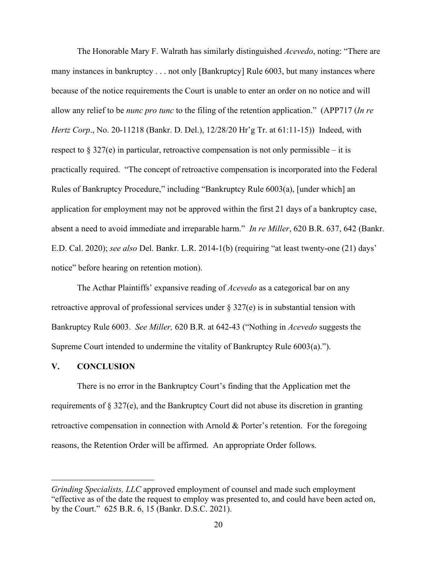The Honorable Mary F. Walrath has similarly distinguished *Acevedo*, noting: "There are many instances in bankruptcy . . . not only [Bankruptcy] Rule 6003, but many instances where because of the notice requirements the Court is unable to enter an order on no notice and will allow any relief to be *nunc pro tunc* to the filing of the retention application." (APP717 (*In re Hertz Corp*., No. 20-11218 (Bankr. D. Del.), 12/28/20 Hr'g Tr. at 61:11-15)) Indeed, with respect to  $\S 327(e)$  in particular, retroactive compensation is not only permissible – it is practically required. "The concept of retroactive compensation is incorporated into the Federal Rules of Bankruptcy Procedure," including "Bankruptcy Rule 6003(a), [under which] an application for employment may not be approved within the first 21 days of a bankruptcy case, absent a need to avoid immediate and irreparable harm." *In re Miller*, 620 B.R. 637, 642 (Bankr. E.D. Cal. 2020); *see also* Del. Bankr. L.R. 2014-1(b) (requiring "at least twenty-one (21) days' notice" before hearing on retention motion).

The Acthar Plaintiffs' expansive reading of *Acevedo* as a categorical bar on any retroactive approval of professional services under § 327(e) is in substantial tension with Bankruptcy Rule 6003. *See Miller,* 620 B.R. at 642-43 ("Nothing in *Acevedo* suggests the Supreme Court intended to undermine the vitality of Bankruptcy Rule 6003(a).").

### **V. CONCLUSION**

There is no error in the Bankruptcy Court's finding that the Application met the requirements of § 327(e), and the Bankruptcy Court did not abuse its discretion in granting retroactive compensation in connection with Arnold & Porter's retention. For the foregoing reasons, the Retention Order will be affirmed. An appropriate Order follows.

*Grinding Specialists, LLC* approved employment of counsel and made such employment "effective as of the date the request to employ was presented to, and could have been acted on, by the Court." 625 B.R. 6, 15 (Bankr. D.S.C. 2021).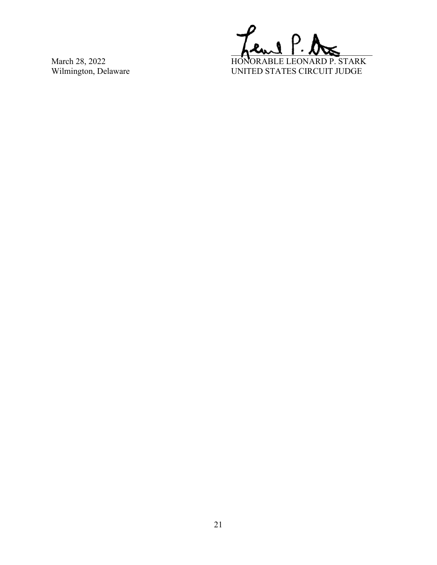